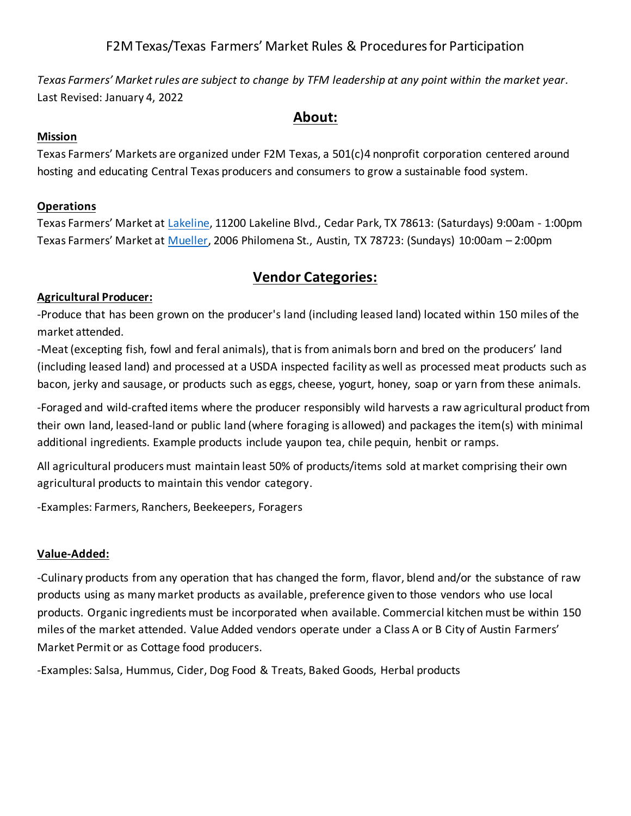*Texas Farmers' Market rules are subject to change by TFM leadership at any point within the market year.* Last Revised: January 4, 2022

### **About:**

### **Mission**

Texas Farmers' Markets are organized under F2M Texas, a 501(c)4 nonprofit corporation centered around hosting and educating Central Texas producers and consumers to grow a sustainable food system.

### **Operations**

Texas Farmers' Market at Lakeline, 11200 Lakeline Blvd., Cedar Park, TX 78613: (Saturdays) 9:00am - 1:00pm Texas Farmers' Market at Mueller, 2006 Philomena St., Austin, TX 78723: (Sundays) 10:00am – 2:00pm

# **Vendor Categories:**

### **Agricultural Producer:**

-Produce that has been grown on the producer's land (including leased land) located within 150 miles of the market attended.

-Meat (excepting fish, fowl and feral animals), that is from animals born and bred on the producers' land (including leased land) and processed at a USDA inspected facility as well as processed meat products such as bacon, jerky and sausage, or products such as eggs, cheese, yogurt, honey, soap or yarn from these animals.

-Foraged and wild-crafted items where the producer responsibly wild harvests a raw agricultural product from their own land, leased-land or public land (where foraging is allowed) and packages the item(s) with minimal additional ingredients. Example products include yaupon tea, chile pequin, henbit or ramps.

All agricultural producers must maintain least 50% of products/items sold at market comprising their own agricultural products to maintain this vendor category.

-Examples: Farmers, Ranchers, Beekeepers, Foragers

### **Value-Added:**

-Culinary products from any operation that has changed the form, flavor, blend and/or the substance of raw products using as many market products as available, preference given to those vendors who use local products. Organic ingredients must be incorporated when available. Commercial kitchen must be within 150 miles of the market attended. Value Added vendors operate under a Class A or B City of Austin Farmers' Market Permit or as Cottage food producers.

-Examples: Salsa, Hummus, Cider, Dog Food & Treats, Baked Goods, Herbal products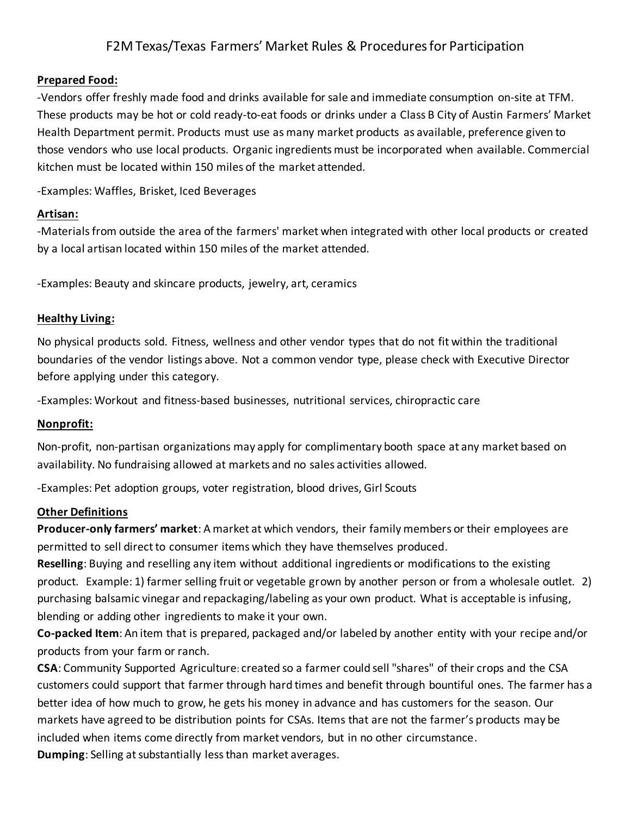#### **Prepared Food:**

-Vendors offer freshly made food and drinks available for sale and immediate consumption on-site at TFM. These products may be hot or cold ready-to-eat foods or drinks under a Class B City of Austin Farmers' Market Health Department permit. Products must use as many market products as available, preference given to those vendors who use local products. Organic ingredients must be incorporated when available. Commercial kitchen must be located within 150 miles of the market attended.

-Examples: Waffles, Brisket, Iced Beverages

#### **Artisan:**

-Materials from outside the area of the farmers' market when integrated with other local products or created by a local artisan located within 150 miles of the market attended.

-Examples: Beauty and skincare products, jewelry, art, ceramics

#### **Healthy Living:**

No physical products sold. Fitness, wellness and other vendor types that do not fit within the traditional boundaries of the vendor listings above. Not a common vendor type, please check with Executive Director before applying under this category.

-Examples: Workout and fitness-based businesses, nutritional services, chiropractic care

#### **Nonprofit:**

Non-profit, non-partisan organizations may apply for complimentary booth space at any market based on availability. No fundraising allowed at markets and no sales activities allowed.

-Examples: Pet adoption groups, voter registration, blood drives, Girl Scouts

#### **Other Definitions**

**Producer-only farmers' market**: A market at which vendors, their family members or their employees are permitted to sell direct to consumer items which they have themselves produced.

**Reselling**: Buying and reselling any item without additional ingredients or modifications to the existing product. Example: 1) farmer selling fruit or vegetable grown by another person or from a wholesale outlet. 2) purchasing balsamic vinegar and repackaging/labeling as your own product. What is acceptable is infusing, blending or adding other ingredients to make it your own.

**Co-packed Item**: An item that is prepared, packaged and/or labeled by another entity with your recipe and/or products from your farm or ranch.

**CSA**: Community Supported Agriculture: created so a farmer could sell "shares" of their crops and the CSA customers could support that farmer through hard times and benefit through bountiful ones. The farmer has a better idea of how much to grow, he gets his money in advance and has customers for the season. Our markets have agreed to be distribution points for CSAs. Items that are not the farmer's products may be included when items come directly from market vendors, but in no other circumstance. **Dumping**: Selling at substantially less than market averages.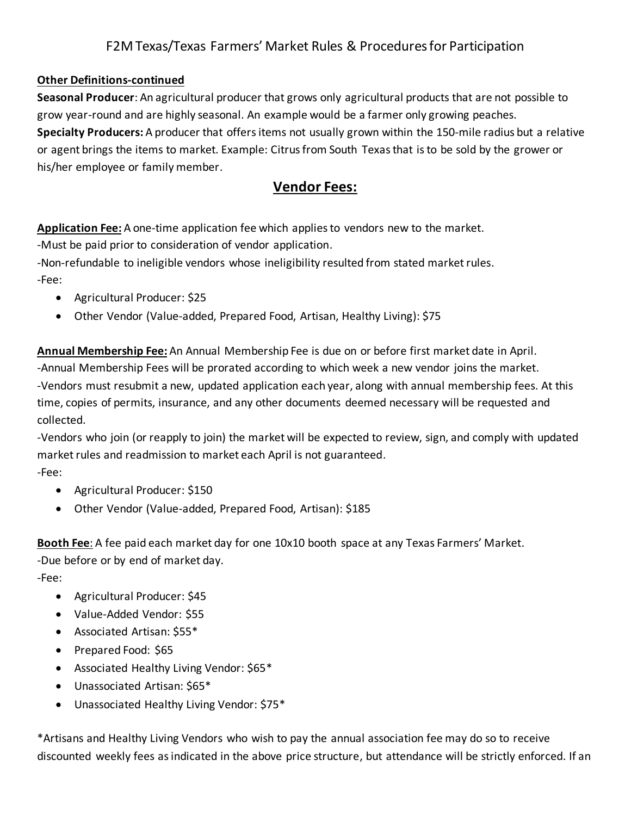### **Other Definitions-continued**

**Seasonal Producer**: An agricultural producer that grows only agricultural products that are not possible to grow year-round and are highly seasonal. An example would be a farmer only growing peaches. **Specialty Producers:** A producer that offersitems not usually grown within the 150-mile radius but a relative or agent brings the items to market. Example: Citrus from South Texas that is to be sold by the grower or his/her employee or family member.

# **Vendor Fees:**

**Application Fee:** A one-time application fee which applies to vendors new to the market. -Must be paid prior to consideration of vendor application.

-Non-refundable to ineligible vendors whose ineligibility resulted from stated market rules. -Fee:

- Agricultural Producer: \$25
- Other Vendor (Value-added, Prepared Food, Artisan, Healthy Living): \$75

**Annual Membership Fee:** An Annual Membership Fee is due on or before first market date in April. -Annual Membership Fees will be prorated according to which week a new vendor joins the market. -Vendors must resubmit a new, updated application each year, along with annual membership fees. At this time, copies of permits, insurance, and any other documents deemed necessary will be requested and collected.

-Vendors who join (or reapply to join) the market will be expected to review, sign, and comply with updated market rules and readmission to market each April is not guaranteed. -Fee:

- Agricultural Producer: \$150
- Other Vendor (Value-added, Prepared Food, Artisan): \$185

**Booth Fee**: A fee paid each market day for one 10x10 booth space at any Texas Farmers' Market. -Due before or by end of market day. -Fee:

- Agricultural Producer: \$45
- Value-Added Vendor: \$55
- Associated Artisan: \$55\*
- Prepared Food: \$65
- Associated Healthy Living Vendor: \$65\*
- Unassociated Artisan: \$65\*
- Unassociated Healthy Living Vendor: \$75\*

\*Artisans and Healthy Living Vendors who wish to pay the annual association fee may do so to receive discounted weekly fees as indicated in the above price structure, but attendance will be strictly enforced. If an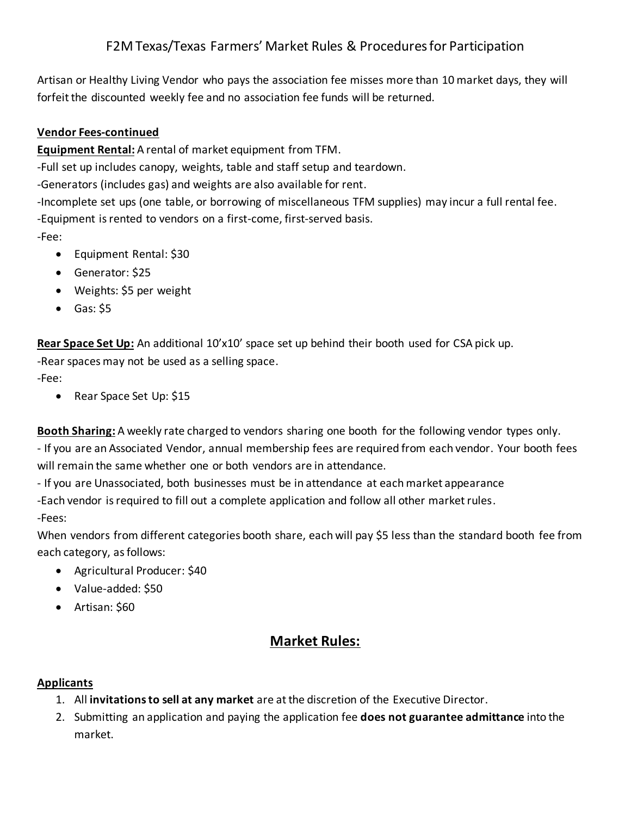Artisan or Healthy Living Vendor who pays the association fee misses more than 10 market days, they will forfeit the discounted weekly fee and no association fee funds will be returned.

### **Vendor Fees-continued**

**Equipment Rental:** A rental of market equipment from TFM.

-Full set up includes canopy, weights, table and staff setup and teardown.

-Generators (includes gas) and weights are also available for rent.

-Incomplete set ups (one table, or borrowing of miscellaneous TFM supplies) may incur a full rental fee. -Equipment is rented to vendors on a first-come, first-served basis.

-Fee:

- Equipment Rental: \$30
- Generator: \$25
- Weights: \$5 per weight
- Gas: \$5

**Rear Space Set Up:** An additional 10'x10' space set up behind their booth used for CSA pick up.

-Rear spaces may not be used as a selling space.

-Fee:

• Rear Space Set Up: \$15

**Booth Sharing:** A weekly rate charged to vendors sharing one booth for the following vendor types only.

- If you are an Associated Vendor, annual membership fees are required from each vendor. Your booth fees will remain the same whether one or both vendors are in attendance.

- If you are Unassociated, both businesses must be in attendance at each market appearance

-Each vendor is required to fill out a complete application and follow all other market rules.

-Fees:

When vendors from different categories booth share, each will pay \$5 less than the standard booth fee from each category, as follows:

- Agricultural Producer: \$40
- Value-added: \$50
- Artisan: \$60

# **Market Rules:**

### **Applicants**

- 1. All **invitations to sell at any market** are at the discretion of the Executive Director.
- 2. Submitting an application and paying the application fee **does not guarantee admittance** into the market.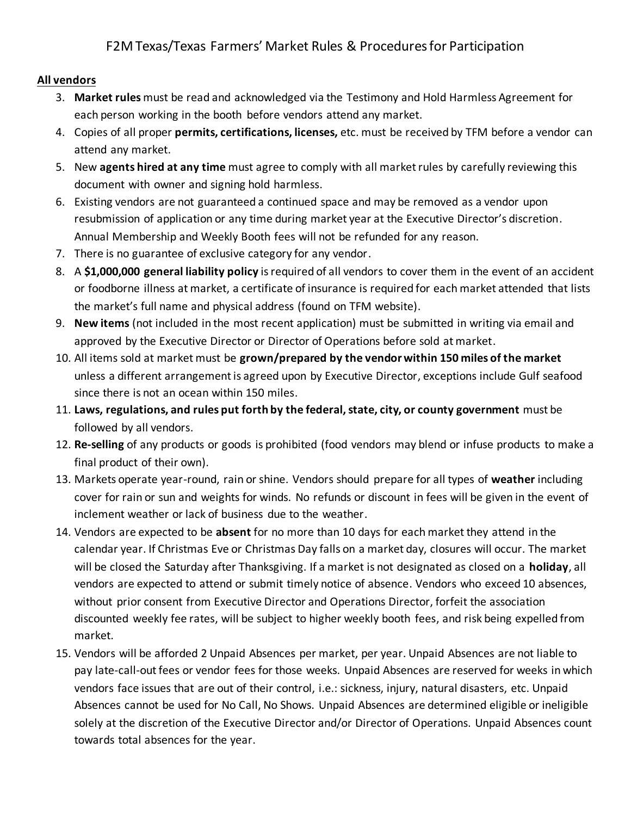### **All vendors**

- 3. **Market rules** must be read and acknowledged via the Testimony and Hold Harmless Agreement for each person working in the booth before vendors attend any market.
- 4. Copies of all proper **permits, certifications, licenses,** etc. must be received by TFM before a vendor can attend any market.
- 5. New **agents hired at any time** must agree to comply with all market rules by carefully reviewing this document with owner and signing hold harmless.
- 6. Existing vendors are not guaranteed a continued space and may be removed as a vendor upon resubmission of application or any time during market year at the Executive Director's discretion. Annual Membership and Weekly Booth fees will not be refunded for any reason.
- 7. There is no guarantee of exclusive category for any vendor.
- 8. A **\$1,000,000 general liability policy** is required of all vendors to cover them in the event of an accident or foodborne illness at market, a certificate of insurance is required for each market attended that lists the market's full name and physical address (found on TFM website).
- 9. **New items** (not included in the most recent application) must be submitted in writing via email and approved by the Executive Director or Director of Operations before sold at market.
- 10. All items sold at market must be **grown/prepared by the vendor within 150 miles of the market** unless a different arrangement is agreed upon by Executive Director, exceptions include Gulf seafood since there is not an ocean within 150 miles.
- 11. **Laws, regulations, and rules put forth by the federal, state, city, or county government** must be followed by all vendors.
- 12. **Re-selling** of any products or goods is prohibited (food vendors may blend or infuse products to make a final product of their own).
- 13. Markets operate year-round, rain or shine. Vendors should prepare for all types of **weather** including cover for rain or sun and weights for winds. No refunds or discount in fees will be given in the event of inclement weather or lack of business due to the weather.
- 14. Vendors are expected to be **absent** for no more than 10 days for each market they attend in the calendar year. If Christmas Eve or Christmas Day falls on a market day, closures will occur. The market will be closed the Saturday after Thanksgiving. If a market is not designated as closed on a **holiday**, all vendors are expected to attend or submit timely notice of absence. Vendors who exceed 10 absences, without prior consent from Executive Director and Operations Director, forfeit the association discounted weekly fee rates, will be subject to higher weekly booth fees, and risk being expelled from market.
- 15. Vendors will be afforded 2 Unpaid Absences per market, per year. Unpaid Absences are not liable to pay late-call-out fees or vendor fees for those weeks. Unpaid Absences are reserved for weeks in which vendors face issues that are out of their control, i.e.: sickness, injury, natural disasters, etc. Unpaid Absences cannot be used for No Call, No Shows. Unpaid Absences are determined eligible or ineligible solely at the discretion of the Executive Director and/or Director of Operations. Unpaid Absences count towards total absences for the year.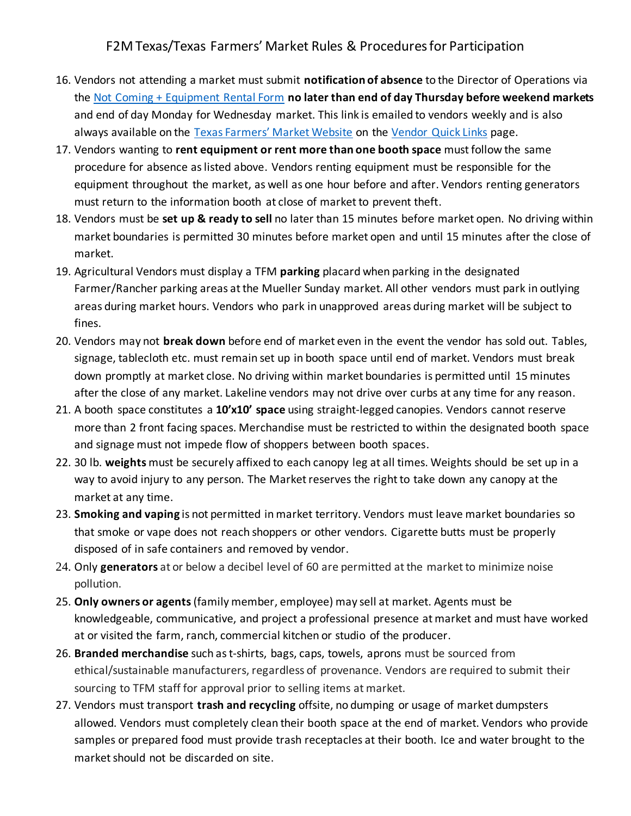- 16. Vendors not attending a market must submit **notification of absence** to the Director of Operations via the Not Coming + Equipment Rental Form **no later than end of day Thursday before weekend markets** and end of day Monday for Wednesday market. This link is emailed to vendors weekly and is also always available on the Texas Farmers' Market Website on the Vendor Quick Links page.
- 17. Vendors wanting to **rent equipment or rent more than one booth space** must follow the same procedure for absence as listed above. Vendors renting equipment must be responsible for the equipment throughout the market, as well as one hour before and after. Vendors renting generators must return to the information booth at close of market to prevent theft.
- 18. Vendors must be **set up & ready to sell** no later than 15 minutes before market open. No driving within market boundaries is permitted 30 minutes before market open and until 15 minutes after the close of market.
- 19. Agricultural Vendors must display a TFM **parking** placard when parking in the designated Farmer/Rancher parking areas at the Mueller Sunday market. All other vendors must park in outlying areas during market hours. Vendors who park in unapproved areas during market will be subject to fines.
- 20. Vendors may not **break down** before end of market even in the event the vendor has sold out. Tables, signage, tablecloth etc. must remain set up in booth space until end of market. Vendors must break down promptly at market close. No driving within market boundaries is permitted until 15 minutes after the close of any market. Lakeline vendors may not drive over curbs at any time for any reason.
- 21. A booth space constitutes a **10'x10' space** using straight-legged canopies. Vendors cannot reserve more than 2 front facing spaces. Merchandise must be restricted to within the designated booth space and signage must not impede flow of shoppers between booth spaces.
- 22. 30 lb. **weights** must be securely affixed to each canopy leg at all times. Weights should be set up in a way to avoid injury to any person. The Market reserves the right to take down any canopy at the market at any time.
- 23. **Smoking and vaping** is not permitted in market territory. Vendors must leave market boundaries so that smoke or vape does not reach shoppers or other vendors. Cigarette butts must be properly disposed of in safe containers and removed by vendor.
- 24. Only **generators** at or below a decibel level of 60 are permitted at the market to minimize noise pollution.
- 25. **Only owners or agents**(family member, employee) may sell at market. Agents must be knowledgeable, communicative, and project a professional presence at market and must have worked at or visited the farm, ranch, commercial kitchen or studio of the producer.
- 26. **Branded merchandise** such as t-shirts, bags, caps, towels, aprons must be sourced from ethical/sustainable manufacturers, regardless of provenance. Vendors are required to submit their sourcing to TFM staff for approval prior to selling items at market.
- 27. Vendors must transport **trash and recycling** offsite, no dumping or usage of market dumpsters allowed. Vendors must completely clean their booth space at the end of market. Vendors who provide samples or prepared food must provide trash receptacles at their booth. Ice and water brought to the market should not be discarded on site.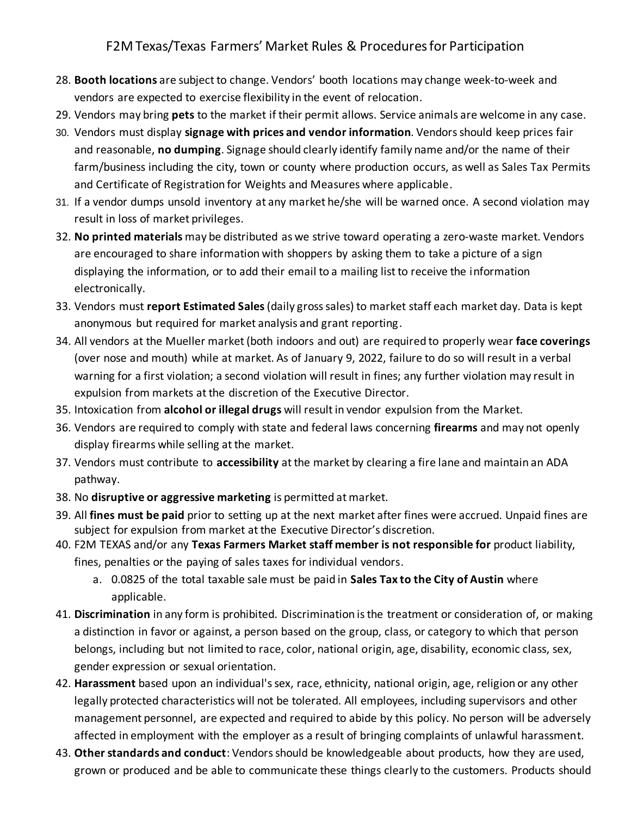- 28. **Booth locations** are subject to change. Vendors' booth locations may change week-to-week and vendors are expected to exercise flexibility in the event of relocation.
- 29. Vendors may bring **pets** to the market if their permit allows. Service animals are welcome in any case.
- 30. Vendors must display **signage with prices and vendor information**. Vendors should keep prices fair and reasonable, **no dumping**. Signage should clearly identify family name and/or the name of their farm/business including the city, town or county where production occurs, as well as Sales Tax Permits and Certificate of Registration for Weights and Measures where applicable.
- 31. If a vendor dumps unsold inventory at any market he/she will be warned once. A second violation may result in loss of market privileges.
- 32. **No printed materials** may be distributed as we strive toward operating a zero-waste market. Vendors are encouraged to share information with shoppers by asking them to take a picture of a sign displaying the information, or to add their email to a mailing list to receive the information electronically.
- 33. Vendors must **report Estimated Sales**(daily gross sales) to market staff each market day. Data is kept anonymous but required for market analysis and grant reporting.
- 34. All vendors at the Mueller market (both indoors and out) are required to properly wear **face coverings** (over nose and mouth) while at market. As of January 9, 2022, failure to do so will result in a verbal warning for a first violation; a second violation will result in fines; any further violation may result in expulsion from markets at the discretion of the Executive Director.
- 35. Intoxication from **alcohol or illegal drugs** will result in vendor expulsion from the Market.
- 36. Vendors are required to comply with state and federal laws concerning **firearms** and may not openly display firearms while selling at the market.
- 37. Vendors must contribute to **accessibility** at the market by clearing a fire lane and maintain an ADA pathway.
- 38. No **disruptive or aggressive marketing** is permitted at market.
- 39. All **fines must be paid** prior to setting up at the next market after fines were accrued. Unpaid fines are subject for expulsion from market at the Executive Director's discretion.
- 40. F2M TEXAS and/or any **Texas Farmers Market staff member is not responsible for** product liability, fines, penalties or the paying of sales taxes for individual vendors.
	- a. 0.0825 of the total taxable sale must be paid in **Sales Tax to the City of Austin** where applicable.
- 41. **Discrimination** in any form is prohibited. Discrimination is the treatment or consideration of, or making a distinction in favor or against, a person based on the group, class, or category to which that person belongs, including but not limited to race, color, national origin, age, disability, economic class, sex, gender expression or sexual orientation.
- 42. **Harassment** based upon an individual's sex, race, ethnicity, national origin, age, religion or any other legally protected characteristics will not be tolerated. All employees, including supervisors and other management personnel, are expected and required to abide by this policy. No person will be adversely affected in employment with the employer as a result of bringing complaints of unlawful harassment.
- 43. **Other standards and conduct**: Vendors should be knowledgeable about products, how they are used, grown or produced and be able to communicate these things clearly to the customers. Products should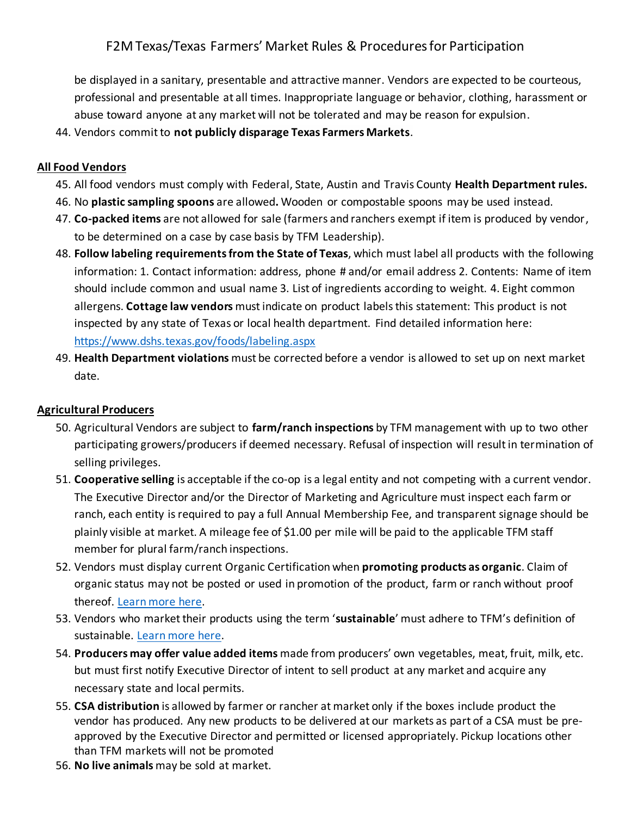be displayed in a sanitary, presentable and attractive manner. Vendors are expected to be courteous, professional and presentable at all times. Inappropriate language or behavior, clothing, harassment or abuse toward anyone at any market will not be tolerated and may be reason for expulsion.

44. Vendors commit to **not publicly disparage Texas Farmers Markets**.

### **All Food Vendors**

- 45. All food vendors must comply with Federal, State, Austin and Travis County **Health Department rules.**
- 46. No **plastic sampling spoons** are allowed**.** Wooden or compostable spoons may be used instead.
- 47. **Co-packed items** are not allowed for sale (farmers and ranchers exempt if item is produced by vendor, to be determined on a case by case basis by TFM Leadership).
- 48. **Follow labeling requirements from the State of Texas**, which must label all products with the following information: 1. Contact information: address, phone # and/or email address 2. Contents: Name of item should include common and usual name 3. List of ingredients according to weight. 4. Eight common allergens. **Cottage law vendors** must indicate on product labels this statement: This product is not inspected by any state of Texas or local health department. Find detailed information here: https://www.dshs.texas.gov/foods/labeling.aspx
- 49. **Health Department violations** must be corrected before a vendor is allowed to set up on next market date.

### **Agricultural Producers**

- 50. Agricultural Vendors are subject to **farm/ranch inspections** by TFM management with up to two other participating growers/producers if deemed necessary. Refusal of inspection will result in termination of selling privileges.
- 51. **Cooperative selling** is acceptable if the co-op is a legal entity and not competing with a current vendor. The Executive Director and/or the Director of Marketing and Agriculture must inspect each farm or ranch, each entity is required to pay a full Annual Membership Fee, and transparent signage should be plainly visible at market. A mileage fee of \$1.00 per mile will be paid to the applicable TFM staff member for plural farm/ranch inspections.
- 52. Vendors must display current Organic Certification when **promoting products as organic**. Claim of organic status may not be posted or used in promotion of the product, farm or ranch without proof thereof. Learn more here.
- 53. Vendors who market their products using the term '**sustainable**' must adhere to TFM's definition of sustainable. Learn more here.
- 54. **Producers may offer value added items** made from producers' own vegetables, meat, fruit, milk, etc. but must first notify Executive Director of intent to sell product at any market and acquire any necessary state and local permits.
- 55. **CSA distribution** is allowed by farmer or rancher at market only if the boxes include product the vendor has produced. Any new products to be delivered at our markets as part of a CSA must be preapproved by the Executive Director and permitted or licensed appropriately. Pickup locations other than TFM markets will not be promoted
- 56. **No live animals** may be sold at market.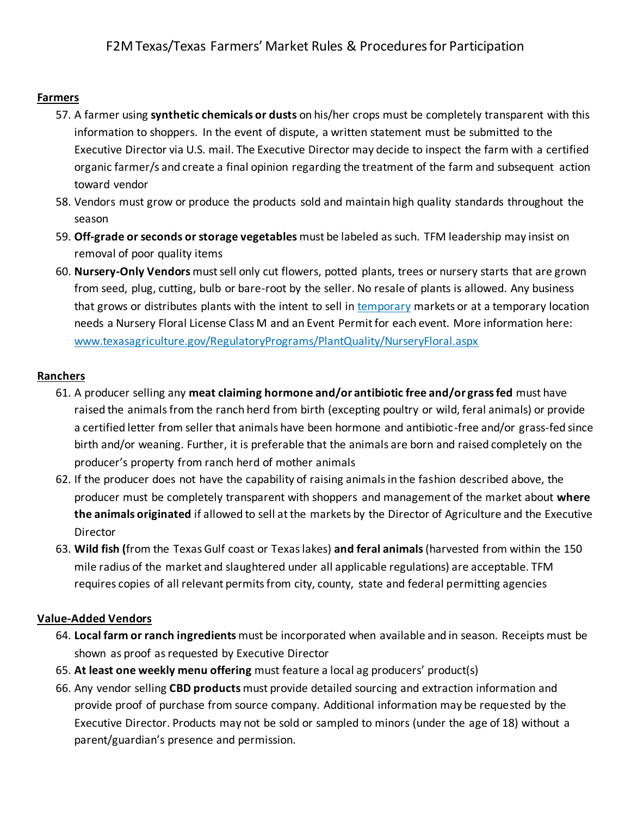### **Farmers**

- 57. A farmer using **synthetic chemicals or dusts** on his/her crops must be completely transparent with this information to shoppers. In the event of dispute, a written statement must be submitted to the Executive Director via U.S. mail. The Executive Director may decide to inspect the farm with a certified organic farmer/s and create a final opinion regarding the treatment of the farm and subsequent action toward vendor
- 58. Vendors must grow or produce the products sold and maintain high quality standards throughout the season
- 59. **Off-grade or seconds or storage vegetables** must be labeled as such. TFM leadership may insist on removal of poor quality items
- 60. **Nursery-Only Vendors** must sell only cut flowers, potted plants, trees or nursery starts that are grown from seed, plug, cutting, bulb or bare-root by the seller. No resale of plants is allowed. Any business that grows or distributes plants with the intent to sell in temporary markets or at a temporary location needs a Nursery Floral License Class M and an Event Permit for each event. More information here: www.texasagriculture.gov/RegulatoryPrograms/PlantQuality/NurseryFloral.aspx

### **Ranchers**

- 61. A producer selling any **meat claiming hormone and/or antibiotic free and/or grass fed** must have raised the animals from the ranch herd from birth (excepting poultry or wild, feral animals) or provide a certified letter from seller that animals have been hormone and antibiotic-free and/or grass-fed since birth and/or weaning. Further, it is preferable that the animals are born and raised completely on the producer's property from ranch herd of mother animals
- 62. If the producer does not have the capability of raising animals in the fashion described above, the producer must be completely transparent with shoppers and management of the market about **where the animals originated** if allowed to sell at the markets by the Director of Agriculture and the Executive Director
- 63. **Wild fish (**from the Texas Gulf coast or Texas lakes) **and feral animals**(harvested from within the 150 mile radius of the market and slaughtered under all applicable regulations) are acceptable. TFM requires copies of all relevant permits from city, county, state and federal permitting agencies

### **Value-Added Vendors**

- 64. **Local farm or ranch ingredients** must be incorporated when available and in season. Receipts must be shown as proof as requested by Executive Director
- 65. **At least one weekly menu offering** must feature a local ag producers' product(s)
- 66. Any vendor selling **CBD products** must provide detailed sourcing and extraction information and provide proof of purchase from source company. Additional information may be requested by the Executive Director. Products may not be sold or sampled to minors (under the age of 18) without a parent/guardian's presence and permission.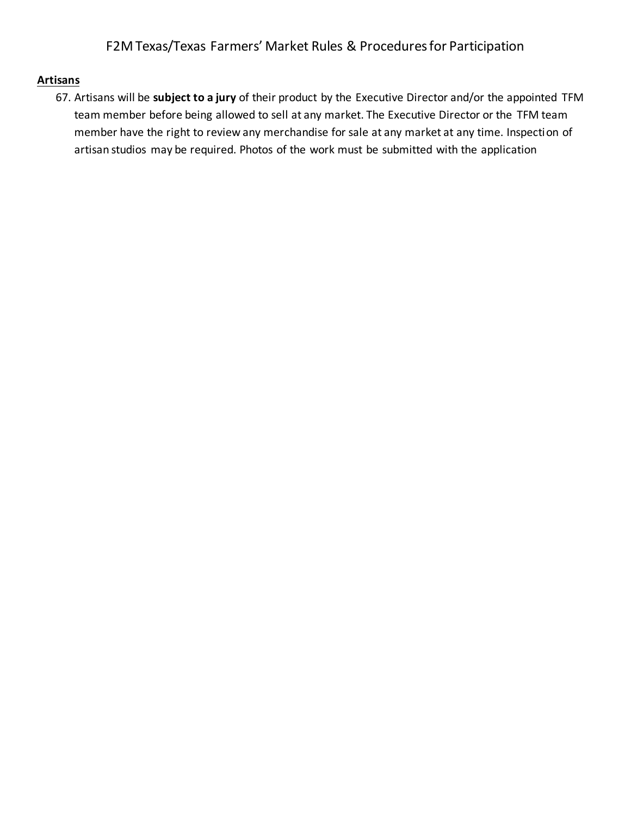#### **Artisans**

67. Artisans will be **subject to a jury** of their product by the Executive Director and/or the appointed TFM team member before being allowed to sell at any market. The Executive Director or the TFM team member have the right to review any merchandise for sale at any market at any time. Inspection of artisan studios may be required. Photos of the work must be submitted with the application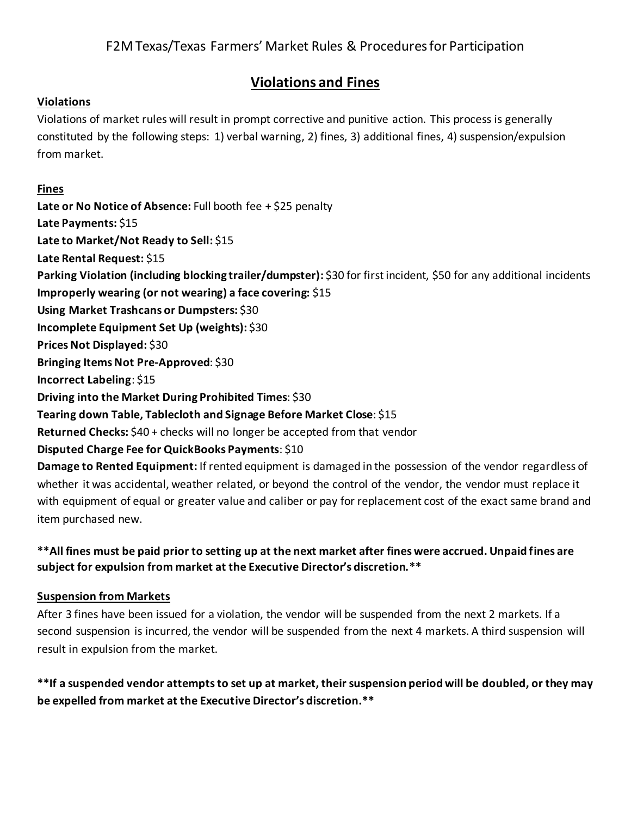### **Violations and Fines**

#### **Violations**

Violations of market rules will result in prompt corrective and punitive action. This process is generally constituted by the following steps: 1) verbal warning, 2) fines, 3) additional fines, 4) suspension/expulsion from market.

#### **Fines**

**Late or No Notice of Absence:** Full booth fee + \$25 penalty **Late Payments:** \$15 **Late to Market/Not Ready to Sell:** \$15 **Late Rental Request:** \$15 **Parking Violation (including blocking trailer/dumpster):** \$30 for first incident, \$50 for any additional incidents **Improperly wearing (or not wearing) a face covering:** \$15 **Using Market Trashcans or Dumpsters:** \$30 **Incomplete Equipment Set Up (weights):** \$30 **Prices Not Displayed:** \$30 **Bringing Items Not Pre-Approved**: \$30 **Incorrect Labeling**: \$15 **Driving into the Market During Prohibited Times**: \$30 **Tearing down Table, Tablecloth and Signage Before Market Close**: \$15 **Returned Checks:** \$40 + checks will no longer be accepted from that vendor **Disputed Charge Fee for QuickBooks Payments**: \$10 **Damage to Rented Equipment:** If rented equipment is damaged in the possession of the vendor regardless of

whether it was accidental, weather related, or beyond the control of the vendor, the vendor must replace it with equipment of equal or greater value and caliber or pay for replacement cost of the exact same brand and item purchased new.

### **\*\*All fines must be paid prior to setting up at the next market after fines were accrued. Unpaid fines are subject for expulsion from market at the Executive Director's discretion.\*\***

### **Suspension from Markets**

After 3 fines have been issued for a violation, the vendor will be suspended from the next 2 markets. If a second suspension is incurred, the vendor will be suspended from the next 4 markets. A third suspension will result in expulsion from the market.

**\*\*If a suspended vendor attempts to set up at market, their suspension period will be doubled, or they may be expelled from market at the Executive Director's discretion.\*\***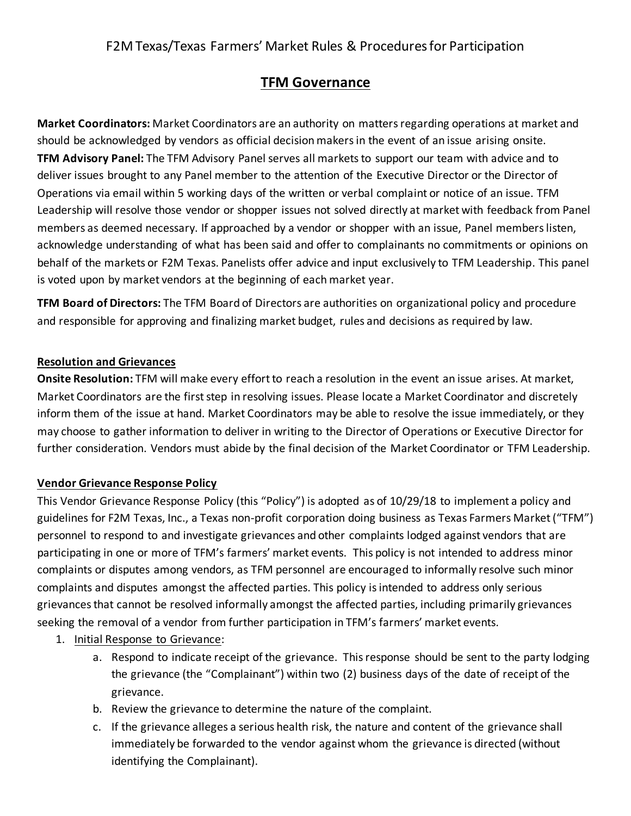## **TFM Governance**

**Market Coordinators:** Market Coordinators are an authority on matters regarding operations at market and should be acknowledged by vendors as official decision makers in the event of an issue arising onsite. **TFM Advisory Panel:** The TFM Advisory Panel serves all markets to support our team with advice and to deliver issues brought to any Panel member to the attention of the Executive Director or the Director of Operations via email within 5 working days of the written or verbal complaint or notice of an issue. TFM Leadership will resolve those vendor or shopper issues not solved directly at market with feedback from Panel members as deemed necessary. If approached by a vendor or shopper with an issue, Panel members listen, acknowledge understanding of what has been said and offer to complainants no commitments or opinions on behalf of the markets or F2M Texas. Panelists offer advice and input exclusively to TFM Leadership. This panel is voted upon by market vendors at the beginning of each market year.

**TFM Board of Directors:** The TFM Board of Directors are authorities on organizational policy and procedure and responsible for approving and finalizing market budget, rules and decisions as required by law.

### **Resolution and Grievances**

**Onsite Resolution:** TFM will make every effort to reach a resolution in the event an issue arises. At market, Market Coordinators are the first step in resolving issues. Please locate a Market Coordinator and discretely inform them of the issue at hand. Market Coordinators may be able to resolve the issue immediately, or they may choose to gather information to deliver in writing to the Director of Operations or Executive Director for further consideration. Vendors must abide by the final decision of the Market Coordinator or TFM Leadership.

### **Vendor Grievance Response Policy**

This Vendor Grievance Response Policy (this "Policy") is adopted as of 10/29/18 to implement a policy and guidelines for F2M Texas, Inc., a Texas non-profit corporation doing business as Texas Farmers Market ("TFM") personnel to respond to and investigate grievances and other complaints lodged against vendors that are participating in one or more of TFM's farmers' market events. This policy is not intended to address minor complaints or disputes among vendors, as TFM personnel are encouraged to informally resolve such minor complaints and disputes amongst the affected parties. This policy is intended to address only serious grievances that cannot be resolved informally amongst the affected parties, including primarily grievances seeking the removal of a vendor from further participation in TFM's farmers' market events.

- 1. Initial Response to Grievance:
	- a. Respond to indicate receipt of the grievance. This response should be sent to the party lodging the grievance (the "Complainant") within two (2) business days of the date of receipt of the grievance.
	- b. Review the grievance to determine the nature of the complaint.
	- c. If the grievance alleges a serious health risk, the nature and content of the grievance shall immediately be forwarded to the vendor against whom the grievance is directed (without identifying the Complainant).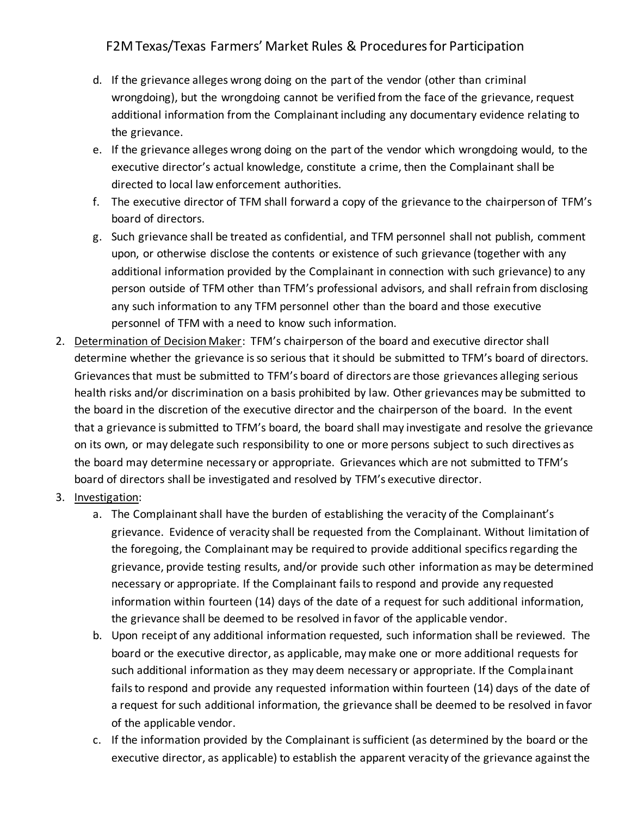- d. If the grievance alleges wrong doing on the part of the vendor (other than criminal wrongdoing), but the wrongdoing cannot be verified from the face of the grievance, request additional information from the Complainant including any documentary evidence relating to the grievance.
- e. If the grievance alleges wrong doing on the part of the vendor which wrongdoing would, to the executive director's actual knowledge, constitute a crime, then the Complainant shall be directed to local law enforcement authorities.
- f. The executive director of TFM shall forward a copy of the grievance to the chairperson of TFM's board of directors.
- g. Such grievance shall be treated as confidential, and TFM personnel shall not publish, comment upon, or otherwise disclose the contents or existence of such grievance (together with any additional information provided by the Complainant in connection with such grievance) to any person outside of TFM other than TFM's professional advisors, and shall refrain from disclosing any such information to any TFM personnel other than the board and those executive personnel of TFM with a need to know such information.
- 2. Determination of Decision Maker: TFM's chairperson of the board and executive director shall determine whether the grievance is so serious that it should be submitted to TFM's board of directors. Grievances that must be submitted to TFM's board of directors are those grievances alleging serious health risks and/or discrimination on a basis prohibited by law. Other grievances may be submitted to the board in the discretion of the executive director and the chairperson of the board. In the event that a grievance is submitted to TFM's board, the board shall may investigate and resolve the grievance on its own, or may delegate such responsibility to one or more persons subject to such directives as the board may determine necessary or appropriate. Grievances which are not submitted to TFM's board of directors shall be investigated and resolved by TFM's executive director.
- 3. Investigation:
	- a. The Complainant shall have the burden of establishing the veracity of the Complainant's grievance. Evidence of veracity shall be requested from the Complainant. Without limitation of the foregoing, the Complainant may be required to provide additional specifics regarding the grievance, provide testing results, and/or provide such other information as may be determined necessary or appropriate. If the Complainant fails to respond and provide any requested information within fourteen (14) days of the date of a request for such additional information, the grievance shall be deemed to be resolved in favor of the applicable vendor.
	- b. Upon receipt of any additional information requested, such information shall be reviewed. The board or the executive director, as applicable, may make one or more additional requests for such additional information as they may deem necessary or appropriate. If the Complainant fails to respond and provide any requested information within fourteen (14) days of the date of a request for such additional information, the grievance shall be deemed to be resolved in favor of the applicable vendor.
	- c. If the information provided by the Complainant is sufficient (as determined by the board or the executive director, as applicable) to establish the apparent veracity of the grievance against the